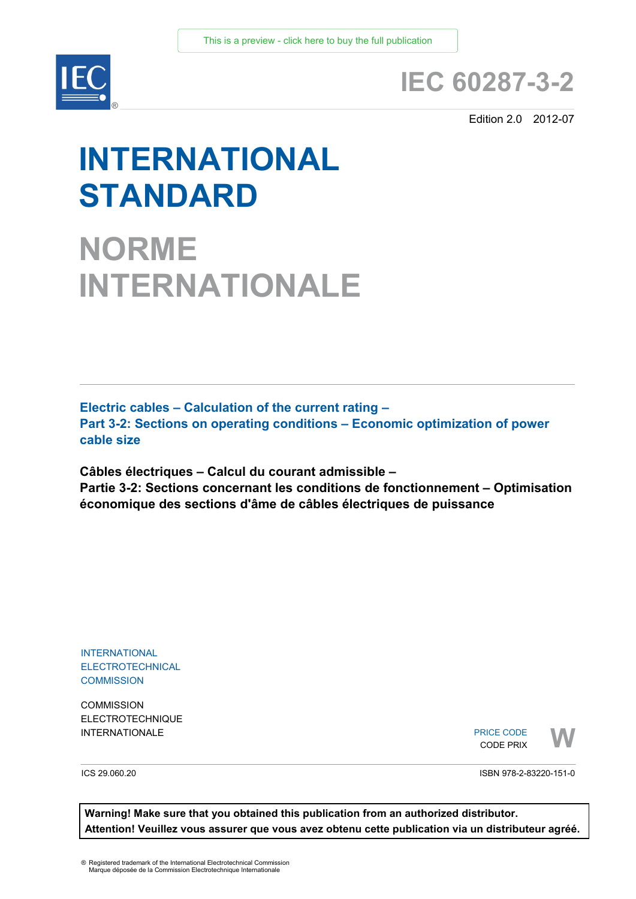

## **IEC 60287-3-2**

Edition 2.0 2012-07

# **INTERNATIONAL STANDARD**

**NORME INTERNATIONALE**

**Electric cables – Calculation of the current rating – Part 3-2: Sections on operating conditions – Economic optimization of power cable size** 

**Câbles électriques – Calcul du courant admissible – Partie 3-2: Sections concernant les conditions de fonctionnement – Optimisation économique des sections d'âme de câbles électriques de puissance**

INTERNATIONAL ELECTROTECHNICAL **COMMISSION** 

**COMMISSION** ELECTROTECHNIQUE

INTERNATIONALE PRICE CODE PRIX PRICE CODE CODE PRIX



ICS 29.060.20

ISBN 978-2-83220-151-0

**Warning! Make sure that you obtained this publication from an authorized distributor. Attention! Veuillez vous assurer que vous avez obtenu cette publication via un distributeur agréé.**

® Registered trademark of the International Electrotechnical Commission Marque déposée de la Commission Electrotechnique Internationale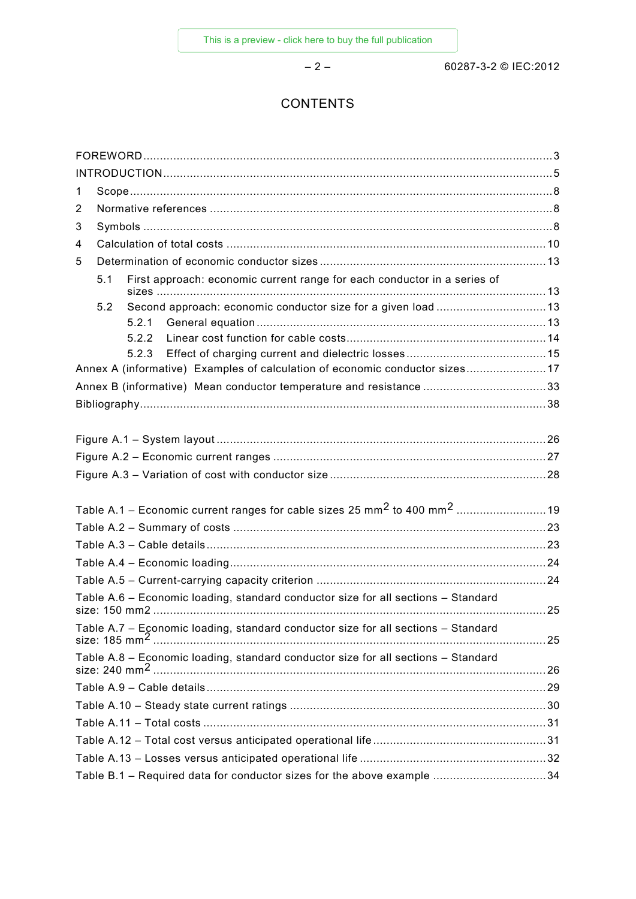– 2 – 60287-3-2 © IEC:2012

## **CONTENTS**

| 1 |                                                                                   |                                                                          |                                                                                                  |  |  |  |  |
|---|-----------------------------------------------------------------------------------|--------------------------------------------------------------------------|--------------------------------------------------------------------------------------------------|--|--|--|--|
| 2 |                                                                                   |                                                                          |                                                                                                  |  |  |  |  |
| 3 |                                                                                   |                                                                          |                                                                                                  |  |  |  |  |
| 4 |                                                                                   |                                                                          |                                                                                                  |  |  |  |  |
| 5 |                                                                                   |                                                                          |                                                                                                  |  |  |  |  |
|   | 5.1                                                                               | First approach: economic current range for each conductor in a series of |                                                                                                  |  |  |  |  |
|   |                                                                                   |                                                                          |                                                                                                  |  |  |  |  |
|   | 5.2                                                                               |                                                                          |                                                                                                  |  |  |  |  |
|   |                                                                                   | 5.2.1<br>5.2.2                                                           |                                                                                                  |  |  |  |  |
|   |                                                                                   | 5.2.3                                                                    |                                                                                                  |  |  |  |  |
|   |                                                                                   |                                                                          | Annex A (informative) Examples of calculation of economic conductor sizes17                      |  |  |  |  |
|   |                                                                                   |                                                                          | Annex B (informative) Mean conductor temperature and resistance 33                               |  |  |  |  |
|   |                                                                                   |                                                                          |                                                                                                  |  |  |  |  |
|   |                                                                                   |                                                                          |                                                                                                  |  |  |  |  |
|   |                                                                                   |                                                                          |                                                                                                  |  |  |  |  |
|   |                                                                                   |                                                                          |                                                                                                  |  |  |  |  |
|   |                                                                                   |                                                                          |                                                                                                  |  |  |  |  |
|   |                                                                                   |                                                                          |                                                                                                  |  |  |  |  |
|   |                                                                                   |                                                                          | Table A.1 - Economic current ranges for cable sizes 25 mm <sup>2</sup> to 400 mm <sup>2</sup> 19 |  |  |  |  |
|   |                                                                                   |                                                                          |                                                                                                  |  |  |  |  |
|   |                                                                                   |                                                                          |                                                                                                  |  |  |  |  |
|   |                                                                                   |                                                                          |                                                                                                  |  |  |  |  |
|   |                                                                                   |                                                                          |                                                                                                  |  |  |  |  |
|   |                                                                                   |                                                                          | Table A.6 - Economic loading, standard conductor size for all sections - Standard                |  |  |  |  |
|   |                                                                                   |                                                                          |                                                                                                  |  |  |  |  |
|   | Table A.7 - Economic loading, standard conductor size for all sections - Standard |                                                                          |                                                                                                  |  |  |  |  |
|   |                                                                                   |                                                                          | Table A.8 - Economic loading, standard conductor size for all sections - Standard                |  |  |  |  |
|   |                                                                                   |                                                                          |                                                                                                  |  |  |  |  |
|   |                                                                                   |                                                                          |                                                                                                  |  |  |  |  |
|   |                                                                                   |                                                                          |                                                                                                  |  |  |  |  |
|   |                                                                                   |                                                                          |                                                                                                  |  |  |  |  |
|   |                                                                                   |                                                                          |                                                                                                  |  |  |  |  |
|   | Table B.1 - Required data for conductor sizes for the above example 34            |                                                                          |                                                                                                  |  |  |  |  |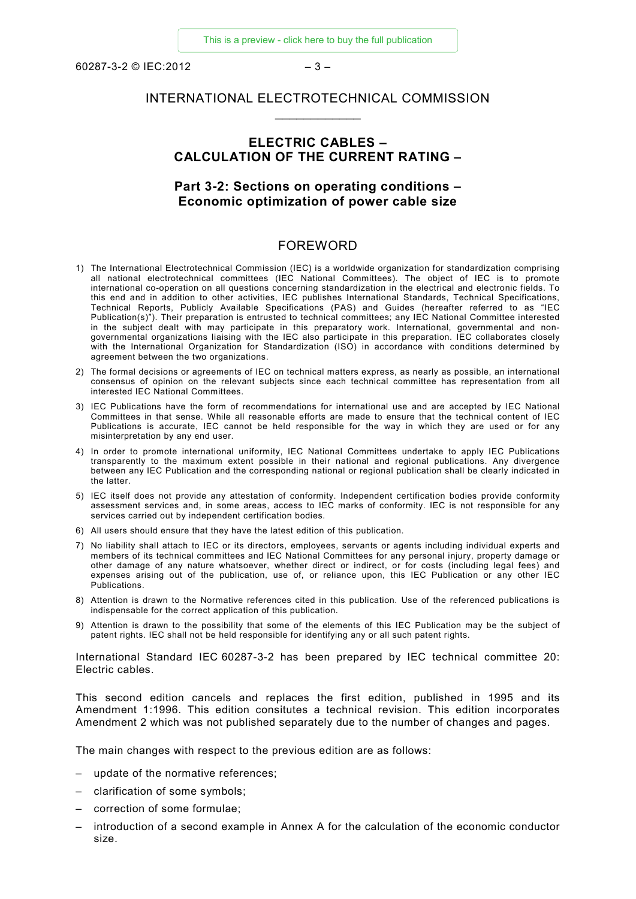$60287 - 3 - 2 \odot 12$  –  $3 -$ 

## INTERNATIONAL ELECTROTECHNICAL COMMISSION \_\_\_\_\_\_\_\_\_\_\_\_

## **ELECTRIC CABLES – CALCULATION OF THE CURRENT RATING –**

## **Part 3-2: Sections on operating conditions – Economic optimization of power cable size**

## FOREWORD

- 1) The International Electrotechnical Commission (IEC) is a worldwide organization for standardization comprising all national electrotechnical committees (IEC National Committees). The object of IEC is to promote international co-operation on all questions concerning standardization in the electrical and electronic fields. To this end and in addition to other activities, IEC publishes International Standards, Technical Specifications, Technical Reports, Publicly Available Specifications (PAS) and Guides (hereafter referred to as "IEC Publication(s)"). Their preparation is entrusted to technical committees; any IEC National Committee interested in the subject dealt with may participate in this preparatory work. International, governmental and nongovernmental organizations liaising with the IEC also participate in this preparation. IEC collaborates closely with the International Organization for Standardization (ISO) in accordance with conditions determined by agreement between the two organizations.
- 2) The formal decisions or agreements of IEC on technical matters express, as nearly as possible, an international consensus of opinion on the relevant subjects since each technical committee has representation from all interested IEC National Committees.
- 3) IEC Publications have the form of recommendations for international use and are accepted by IEC National Committees in that sense. While all reasonable efforts are made to ensure that the technical content of IEC Publications is accurate, IEC cannot be held responsible for the way in which they are used or for any misinterpretation by any end user.
- 4) In order to promote international uniformity, IEC National Committees undertake to apply IEC Publications transparently to the maximum extent possible in their national and regional publications. Any divergence between any IEC Publication and the corresponding national or regional publication shall be clearly indicated in the latter.
- 5) IEC itself does not provide any attestation of conformity. Independent certification bodies provide conformity assessment services and, in some areas, access to IEC marks of conformity. IEC is not responsible for any services carried out by independent certification bodies.
- 6) All users should ensure that they have the latest edition of this publication.
- 7) No liability shall attach to IEC or its directors, employees, servants or agents including individual experts and members of its technical committees and IEC National Committees for any personal injury, property damage or other damage of any nature whatsoever, whether direct or indirect, or for costs (including legal fees) and expenses arising out of the publication, use of, or reliance upon, this IEC Publication or any other IEC Publications.
- 8) Attention is drawn to the Normative references cited in this publication. Use of the referenced publications is indispensable for the correct application of this publication.
- 9) Attention is drawn to the possibility that some of the elements of this IEC Publication may be the subject of patent rights. IEC shall not be held responsible for identifying any or all such patent rights.

International Standard IEC 60287-3-2 has been prepared by IEC technical committee 20: Electric cables.

This second edition cancels and replaces the first edition, published in 1995 and its Amendment 1:1996. This edition consitutes a technical revision. This edition incorporates Amendment 2 which was not published separately due to the number of changes and pages.

The main changes with respect to the previous edition are as follows:

- update of the normative references;
- clarification of some symbols;
- correction of some formulae;
- introduction of a second example in Annex A for the calculation of the economic conductor size.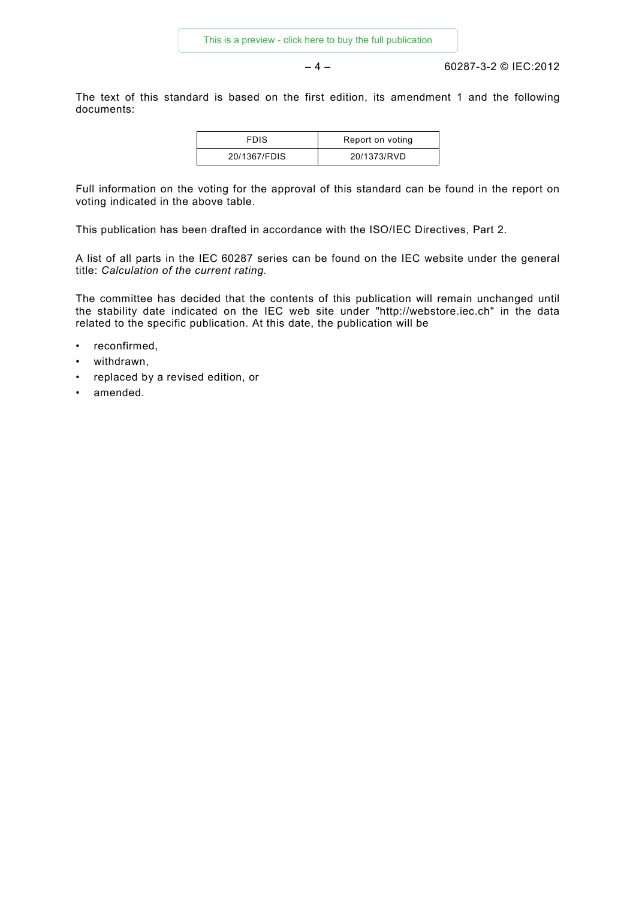– 4 – 60287-3-2 © IEC:2012

The text of this standard is based on the first edition, its amendment 1 and the following documents:

| <b>FDIS</b>  | Report on voting |
|--------------|------------------|
| 20/1367/FDIS | 20/1373/RVD      |

Full information on the voting for the approval of this standard can be found in the report on voting indicated in the above table.

This publication has been drafted in accordance with the ISO/IEC Directives, Part 2.

A list of all parts in the IEC 60287 series can be found on the IEC website under the general title: *Calculation of the current rating.*

The committee has decided that the contents of this publication will remain unchanged until the stability date indicated on the IEC web site under "http://webstore.iec.ch" in the data related to the specific publication. At this date, the publication will be

- reconfirmed,
- withdrawn,
- replaced by a revised edition, or
- amended.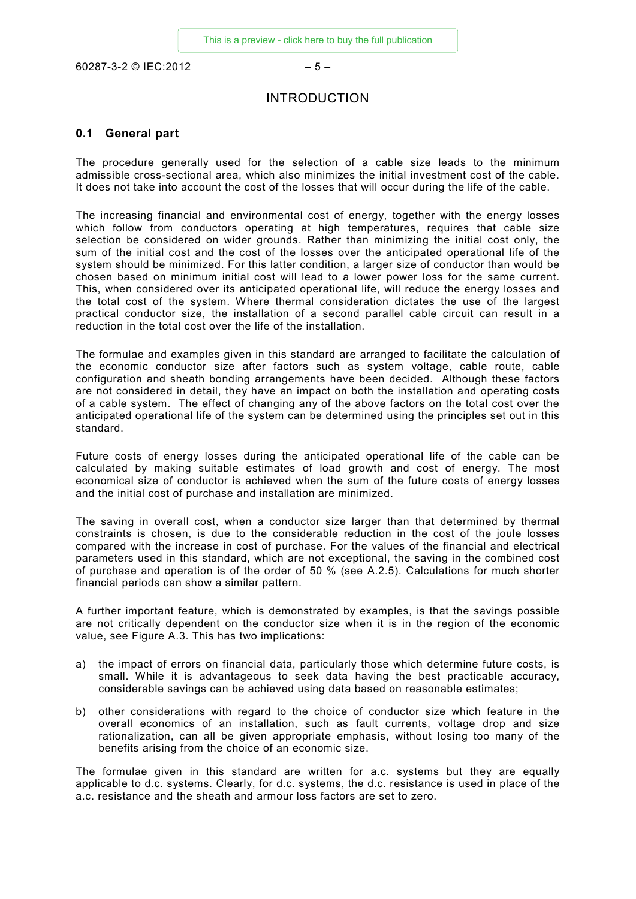$60287 - 3 - 2 \odot 12$  – 5 –

## INTRODUCTION

## **0.1 General part**

The procedure generally used for the selection of a cable size leads to the minimum admissible cross-sectional area, which also minimizes the initial investment cost of the cable. It does not take into account the cost of the losses that will occur during the life of the cable.

The increasing financial and environmental cost of energy, together with the energy losses which follow from conductors operating at high temperatures, requires that cable size selection be considered on wider grounds. Rather than minimizing the initial cost only, the sum of the initial cost and the cost of the losses over the anticipated operational life of the system should be minimized. For this latter condition, a larger size of conductor than would be chosen based on minimum initial cost will lead to a lower power loss for the same current. This, when considered over its anticipated operational life, will reduce the energy losses and the total cost of the system. Where thermal consideration dictates the use of the largest practical conductor size, the installation of a second parallel cable circuit can result in a reduction in the total cost over the life of the installation.

The formulae and examples given in this standard are arranged to facilitate the calculation of the economic conductor size after factors such as system voltage, cable route, cable configuration and sheath bonding arrangements have been decided. Although these factors are not considered in detail, they have an impact on both the installation and operating costs of a cable system. The effect of changing any of the above factors on the total cost over the anticipated operational life of the system can be determined using the principles set out in this standard.

Future costs of energy losses during the anticipated operational life of the cable can be calculated by making suitable estimates of load growth and cost of energy. The most economical size of conductor is achieved when the sum of the future costs of energy losses and the initial cost of purchase and installation are minimized.

The saving in overall cost, when a conductor size larger than that determined by thermal constraints is chosen, is due to the considerable reduction in the cost of the joule losses compared with the increase in cost of purchase. For the values of the financial and electrical parameters used in this standard, which are not exceptional, the saving in the combined cost of purchase and operation is of the order of 50 % (see A.2.5). Calculations for much shorter financial periods can show a similar pattern.

A further important feature, which is demonstrated by examples, is that the savings possible are not critically dependent on the conductor size when it is in the region of the economic value, see Figure A.3. This has two implications:

- a) the impact of errors on financial data, particularly those which determine future costs, is small. While it is advantageous to seek data having the best practicable accuracy, considerable savings can be achieved using data based on reasonable estimates;
- b) other considerations with regard to the choice of conductor size which feature in the overall economics of an installation, such as fault currents, voltage drop and size rationalization, can all be given appropriate emphasis, without losing too many of the benefits arising from the choice of an economic size.

The formulae given in this standard are written for a.c. systems but they are equally applicable to d.c. systems. Clearly, for d.c. systems, the d.c. resistance is used in place of the a.c. resistance and the sheath and armour loss factors are set to zero.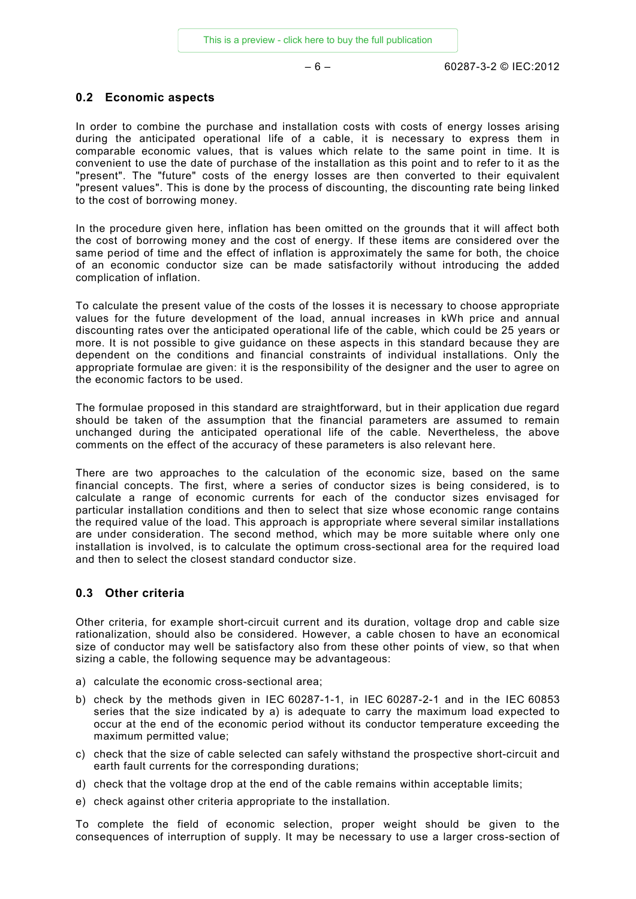## **0.2 Economic aspects**

In order to combine the purchase and installation costs with costs of energy losses arising during the anticipated operational life of a cable, it is necessary to express them in comparable economic values, that is values which relate to the same point in time. It is convenient to use the date of purchase of the installation as this point and to refer to it as the "present". The "future" costs of the energy losses are then converted to their equivalent "present values". This is done by the process of discounting, the discounting rate being linked to the cost of borrowing money.

In the procedure given here, inflation has been omitted on the grounds that it will affect both the cost of borrowing money and the cost of energy. If these items are considered over the same period of time and the effect of inflation is approximately the same for both, the choice of an economic conductor size can be made satisfactorily without introducing the added complication of inflation.

To calculate the present value of the costs of the losses it is necessary to choose appropriate values for the future development of the load, annual increases in kWh price and annual discounting rates over the anticipated operational life of the cable, which could be 25 years or more. It is not possible to give guidance on these aspects in this standard because they are dependent on the conditions and financial constraints of individual installations. Only the appropriate formulae are given: it is the responsibility of the designer and the user to agree on the economic factors to be used.

The formulae proposed in this standard are straightforward, but in their application due regard should be taken of the assumption that the financial parameters are assumed to remain unchanged during the anticipated operational life of the cable. Nevertheless, the above comments on the effect of the accuracy of these parameters is also relevant here.

There are two approaches to the calculation of the economic size, based on the same financial concepts. The first, where a series of conductor sizes is being considered, is to calculate a range of economic currents for each of the conductor sizes envisaged for particular installation conditions and then to select that size whose economic range contains the required value of the load. This approach is appropriate where several similar installations are under consideration. The second method, which may be more suitable where only one installation is involved, is to calculate the optimum cross-sectional area for the required load and then to select the closest standard conductor size.

## **0.3 Other criteria**

Other criteria, for example short-circuit current and its duration, voltage drop and cable size rationalization, should also be considered. However, a cable chosen to have an economical size of conductor may well be satisfactory also from these other points of view, so that when sizing a cable, the following sequence may be advantageous:

- a) calculate the economic cross-sectional area;
- b) check by the methods given in IEC 60287-1-1, in IEC 60287-2-1 and in the IEC 60853 series that the size indicated by a) is adequate to carry the maximum load expected to occur at the end of the economic period without its conductor temperature exceeding the maximum permitted value;
- c) check that the size of cable selected can safely withstand the prospective short-circuit and earth fault currents for the corresponding durations;
- d) check that the voltage drop at the end of the cable remains within acceptable limits;
- e) check against other criteria appropriate to the installation.

To complete the field of economic selection, proper weight should be given to the consequences of interruption of supply. It may be necessary to use a larger cross-section of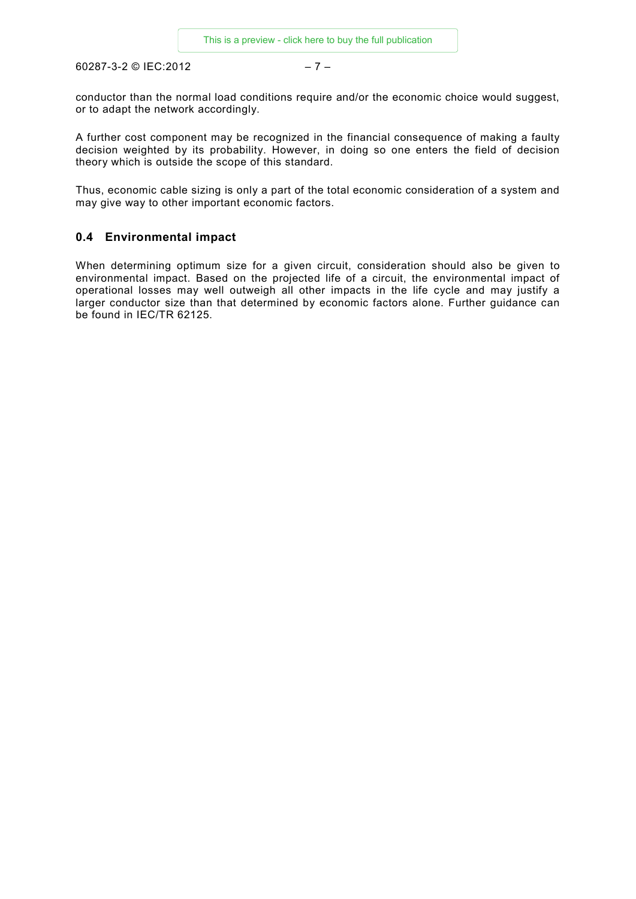$60287 - 3 - 2 \odot 1 \text{E C}$ : 2012 – 7 –

conductor than the normal load conditions require and/or the economic choice would suggest, or to adapt the network accordingly.

A further cost component may be recognized in the financial consequence of making a faulty decision weighted by its probability. However, in doing so one enters the field of decision theory which is outside the scope of this standard.

Thus, economic cable sizing is only a part of the total economic consideration of a system and may give way to other important economic factors.

## **0.4 Environmental impact**

When determining optimum size for a given circuit, consideration should also be given to environmental impact. Based on the projected life of a circuit, the environmental impact of operational losses may well outweigh all other impacts in the life cycle and may justify a larger conductor size than that determined by economic factors alone. Further guidance can be found in IEC/TR 62125.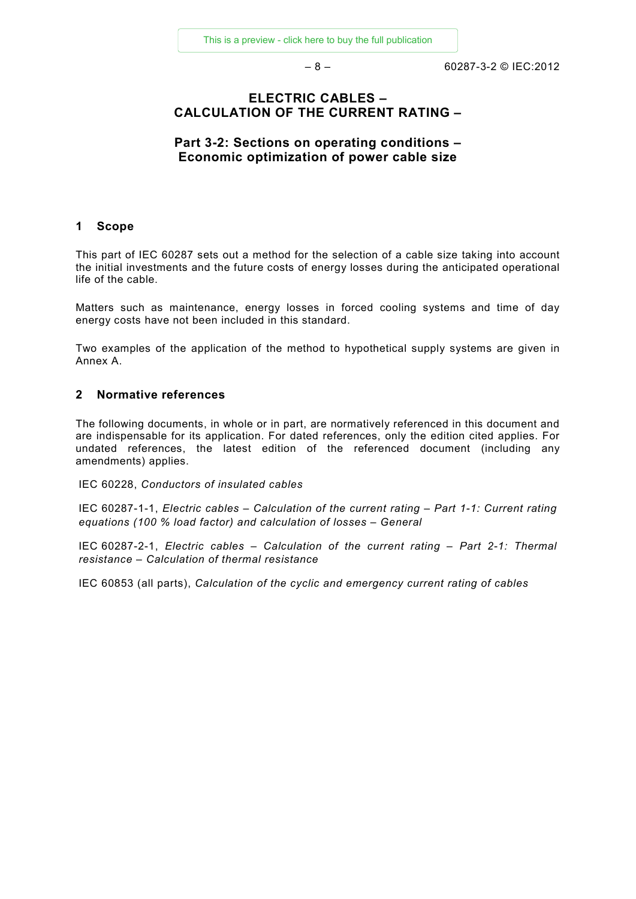$-8 - 60287 - 3 - 2012$ 

## **ELECTRIC CABLES – CALCULATION OF THE CURRENT RATING –**

## **Part 3-2: Sections on operating conditions – Economic optimization of power cable size**

## **1 Scope**

This part of IEC 60287 sets out a method for the selection of a cable size taking into account the initial investments and the future costs of energy losses during the anticipated operational life of the cable.

Matters such as maintenance, energy losses in forced cooling systems and time of day energy costs have not been included in this standard.

Two examples of the application of the method to hypothetical supply systems are given in Annex A.

## **2 Normative references**

The following documents, in whole or in part, are normatively referenced in this document and are indispensable for its application. For dated references, only the edition cited applies. For undated references, the latest edition of the referenced document (including any amendments) applies.

#### IEC 60228, *Conductors of insulated cables*

IEC 60287-1-1, *Electric cables – Calculation of the current rating – Part 1-1: Current rating equations (100 % load factor) and calculation of losses – General*

IEC 60287-2-1, *Electric cables – Calculation of the current rating – Part 2-1: Thermal resistance – Calculation of thermal resistance*

IEC 60853 (all parts), *Calculation of the cyclic and emergency current rating of cables*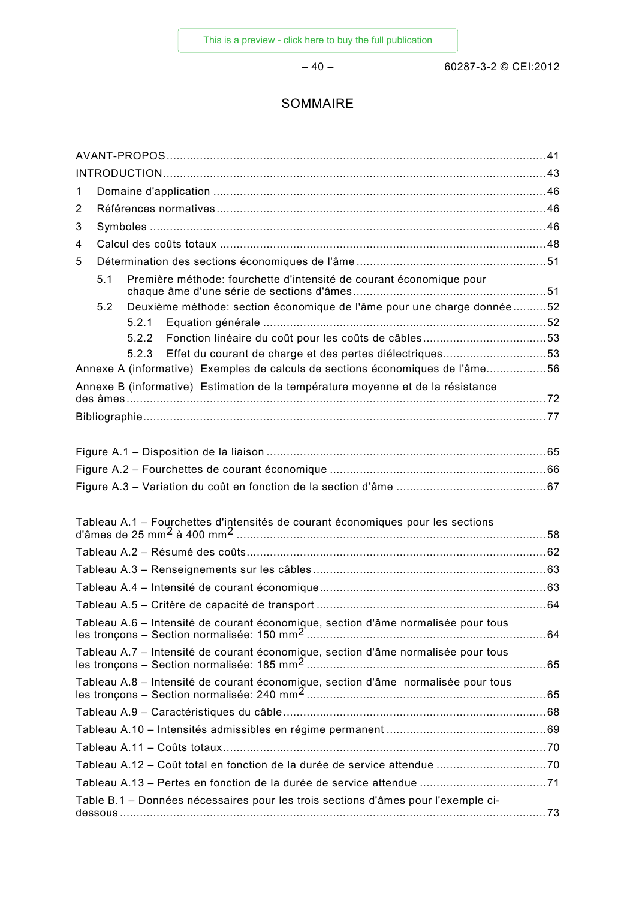– 40 – 60287-3-2 © CEI:2012

## SOMMAIRE

| 1<br>2<br>3<br>4<br>5<br>Première méthode: fourchette d'intensité de courant économique pour<br>5.1 |  |  |  |  |  |
|-----------------------------------------------------------------------------------------------------|--|--|--|--|--|
|                                                                                                     |  |  |  |  |  |
|                                                                                                     |  |  |  |  |  |
|                                                                                                     |  |  |  |  |  |
|                                                                                                     |  |  |  |  |  |
|                                                                                                     |  |  |  |  |  |
|                                                                                                     |  |  |  |  |  |
|                                                                                                     |  |  |  |  |  |
| Deuxième méthode: section économique de l'âme pour une charge donnée 52<br>5.2                      |  |  |  |  |  |
| 5.2.1                                                                                               |  |  |  |  |  |
| 5.2.2                                                                                               |  |  |  |  |  |
| Effet du courant de charge et des pertes diélectriques53<br>5.2.3                                   |  |  |  |  |  |
| Annexe A (informative) Exemples de calculs de sections économiques de l'âme56                       |  |  |  |  |  |
| Annexe B (informative) Estimation de la température moyenne et de la résistance                     |  |  |  |  |  |
|                                                                                                     |  |  |  |  |  |
|                                                                                                     |  |  |  |  |  |
|                                                                                                     |  |  |  |  |  |
|                                                                                                     |  |  |  |  |  |
|                                                                                                     |  |  |  |  |  |
|                                                                                                     |  |  |  |  |  |
| Tableau A.1 - Fourchettes d'intensités de courant économiques pour les sections                     |  |  |  |  |  |
|                                                                                                     |  |  |  |  |  |
|                                                                                                     |  |  |  |  |  |
|                                                                                                     |  |  |  |  |  |
|                                                                                                     |  |  |  |  |  |
| Tableau A.6 - Intensité de courant économique, section d'âme normalisée pour tous                   |  |  |  |  |  |
|                                                                                                     |  |  |  |  |  |
| Tableau A.7 - Intensité de courant économique, section d'âme normalisée pour tous                   |  |  |  |  |  |
|                                                                                                     |  |  |  |  |  |
| Tableau A.8 - Intensité de courant économique, section d'âme normalisée pour tous                   |  |  |  |  |  |
|                                                                                                     |  |  |  |  |  |
|                                                                                                     |  |  |  |  |  |
|                                                                                                     |  |  |  |  |  |
|                                                                                                     |  |  |  |  |  |
|                                                                                                     |  |  |  |  |  |
| Table B.1 - Données nécessaires pour les trois sections d'âmes pour l'exemple ci-                   |  |  |  |  |  |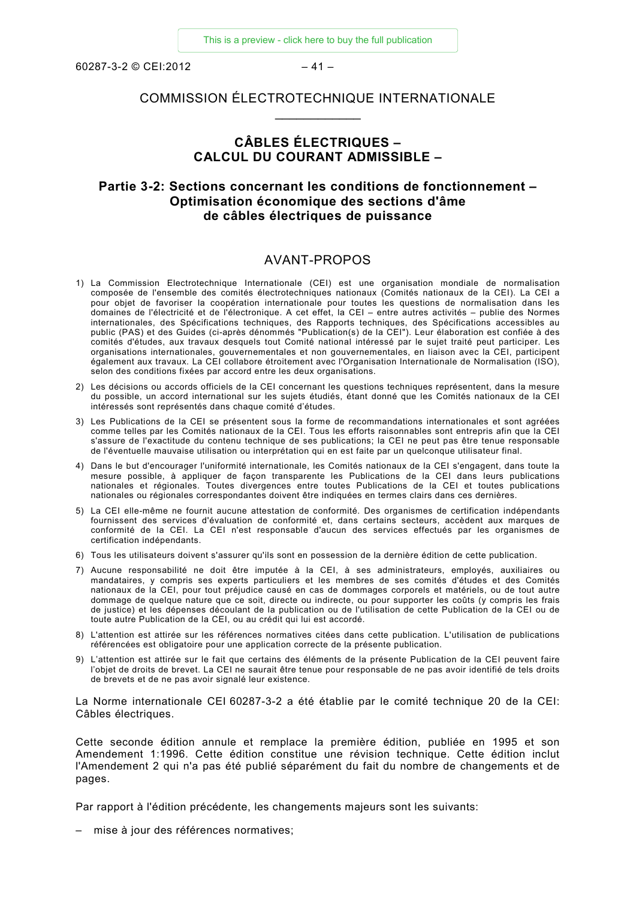$60287 - 3 - 2 \odot CF1:2012$   $-41 -$ 

## COMMISSION ÉLECTROTECHNIQUE INTERNATIONALE \_\_\_\_\_\_\_\_\_\_\_\_

## **CÂBLES ÉLECTRIQUES – CALCUL DU COURANT ADMISSIBLE –**

## **Partie 3-2: Sections concernant les conditions de fonctionnement – Optimisation économique des sections d'âme de câbles électriques de puissance**

## AVANT-PROPOS

- 1) La Commission Electrotechnique Internationale (CEI) est une organisation mondiale de normalisation composée de l'ensemble des comités électrotechniques nationaux (Comités nationaux de la CEI). La CEI a pour objet de favoriser la coopération internationale pour toutes les questions de normalisation dans les domaines de l'électricité et de l'électronique. A cet effet, la CEI – entre autres activités – publie des Normes internationales, des Spécifications techniques, des Rapports techniques, des Spécifications accessibles au public (PAS) et des Guides (ci-après dénommés "Publication(s) de la CEI"). Leur élaboration est confiée à des comités d'études, aux travaux desquels tout Comité national intéressé par le sujet traité peut participer. Les organisations internationales, gouvernementales et non gouvernementales, en liaison avec la CEI, participent également aux travaux. La CEI collabore étroitement avec l'Organisation Internationale de Normalisation (ISO), selon des conditions fixées par accord entre les deux organisations.
- 2) Les décisions ou accords officiels de la CEI concernant les questions techniques représentent, dans la mesure du possible, un accord international sur les sujets étudiés, étant donné que les Comités nationaux de la CEI intéressés sont représentés dans chaque comité d'études.
- 3) Les Publications de la CEI se présentent sous la forme de recommandations internationales et sont agréées comme telles par les Comités nationaux de la CEI. Tous les efforts raisonnables sont entrepris afin que la CEI s'assure de l'exactitude du contenu technique de ses publications; la CEI ne peut pas être tenue responsable de l'éventuelle mauvaise utilisation ou interprétation qui en est faite par un quelconque utilisateur final.
- 4) Dans le but d'encourager l'uniformité internationale, les Comités nationaux de la CEI s'engagent, dans toute la mesure possible, à appliquer de façon transparente les Publications de la CEI dans leurs publications nationales et régionales. Toutes divergences entre toutes Publications de la CEI et toutes publications nationales ou régionales correspondantes doivent être indiquées en termes clairs dans ces dernières.
- 5) La CEI elle-même ne fournit aucune attestation de conformité. Des organismes de certification indépendants fournissent des services d'évaluation de conformité et, dans certains secteurs, accèdent aux marques de conformité de la CEI. La CEI n'est responsable d'aucun des services effectués par les organismes de certification indépendants.
- 6) Tous les utilisateurs doivent s'assurer qu'ils sont en possession de la dernière édition de cette publication.
- 7) Aucune responsabilité ne doit être imputée à la CEI, à ses administrateurs, employés, auxiliaires ou mandataires, y compris ses experts particuliers et les membres de ses comités d'études et des Comités nationaux de la CEI, pour tout préjudice causé en cas de dommages corporels et matériels, ou de tout autre dommage de quelque nature que ce soit, directe ou indirecte, ou pour supporter les coûts (y compris les frais de justice) et les dépenses découlant de la publication ou de l'utilisation de cette Publication de la CEI ou de toute autre Publication de la CEI, ou au crédit qui lui est accordé.
- 8) L'attention est attirée sur les références normatives citées dans cette publication. L'utilisation de publications référencées est obligatoire pour une application correcte de la présente publication.
- 9) L'attention est attirée sur le fait que certains des éléments de la présente Publication de la CEI peuvent faire l'objet de droits de brevet. La CEI ne saurait être tenue pour responsable de ne pas avoir identifié de tels droits de brevets et de ne pas avoir signalé leur existence.

La Norme internationale CEI 60287-3-2 a été établie par le comité technique 20 de la CEI: Câbles électriques.

Cette seconde édition annule et remplace la première édition, publiée en 1995 et son Amendement 1:1996. Cette édition constitue une révision technique. Cette édition inclut l'Amendement 2 qui n'a pas été publié séparément du fait du nombre de changements et de pages.

Par rapport à l'édition précédente, les changements majeurs sont les suivants:

– mise à jour des références normatives;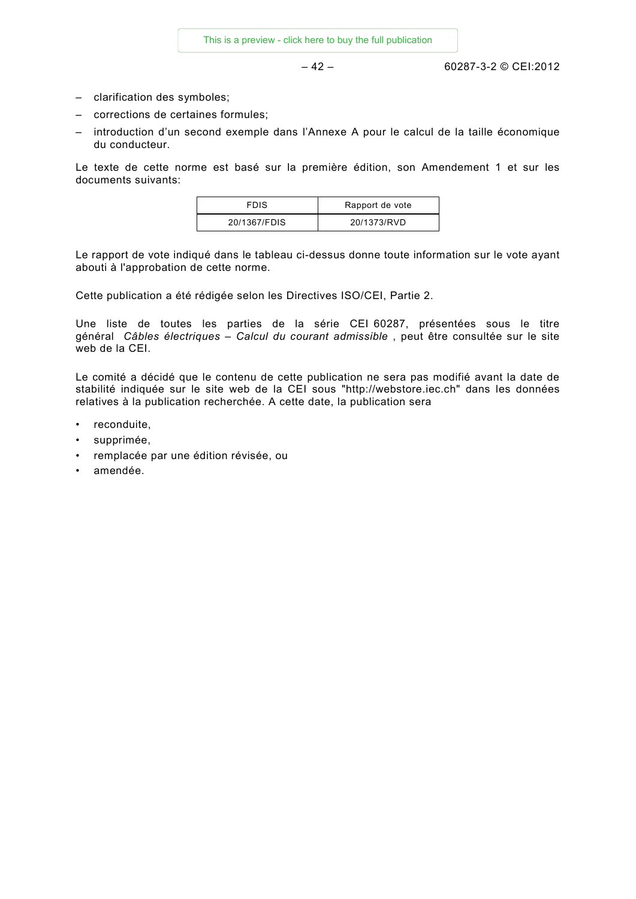– 42 – 60287-3-2 © CEI:2012

- clarification des symboles;
- corrections de certaines formules;
- introduction d'un second exemple dans l'Annexe A pour le calcul de la taille économique du conducteur.

Le texte de cette norme est basé sur la première édition, son Amendement 1 et sur les documents suivants:

| <b>FDIS</b>  | Rapport de vote |
|--------------|-----------------|
| 20/1367/FDIS | 20/1373/RVD     |

Le rapport de vote indiqué dans le tableau ci-dessus donne toute information sur le vote ayant abouti à l'approbation de cette norme.

Cette publication a été rédigée selon les Directives ISO/CEI, Partie 2.

Une liste de toutes les parties de la série CEI 60287, présentées sous le titre général *Câbles électriques – Calcul du courant admissible* , peut être consultée sur le site web de la CEI.

Le comité a décidé que le contenu de cette publication ne sera pas modifié avant la date de stabilité indiquée sur le site web de la CEI sous "http://webstore.iec.ch" dans les données relatives à la publication recherchée. A cette date, la publication sera

- reconduite,
- supprimée,
- remplacée par une édition révisée, ou
- amendée.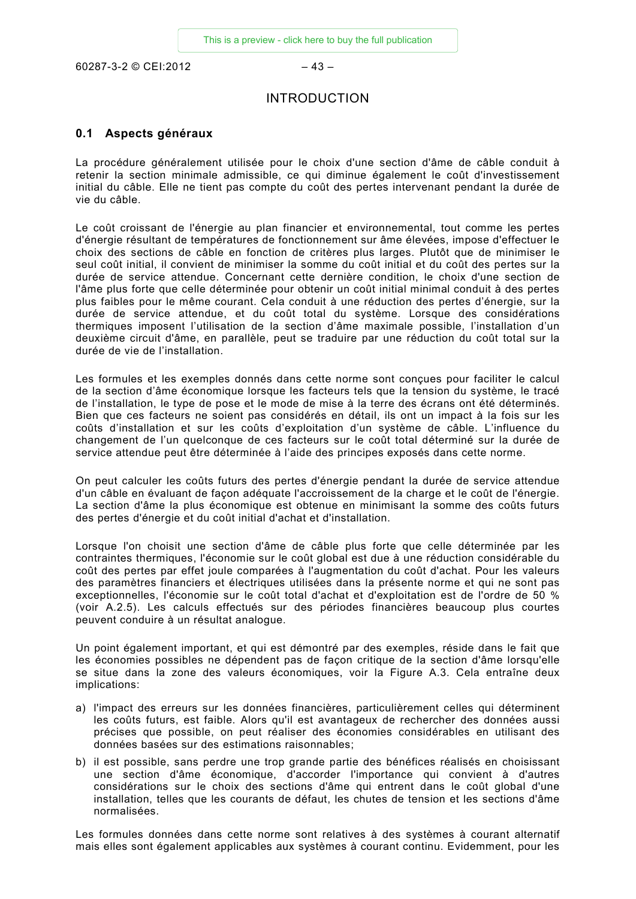$60287 - 3 - 2 \odot CF1:2012$   $-43 -$ 

## INTRODUCTION

## **0.1 Aspects généraux**

La procédure généralement utilisée pour le choix d'une section d'âme de câble conduit à retenir la section minimale admissible, ce qui diminue également le coût d'investissement initial du câble. Elle ne tient pas compte du coût des pertes intervenant pendant la durée de vie du câble.

Le coût croissant de l'énergie au plan financier et environnemental, tout comme les pertes d'énergie résultant de températures de fonctionnement sur âme élevées, impose d'effectuer le choix des sections de câble en fonction de critères plus larges. Plutôt que de minimiser le seul coût initial, il convient de minimiser la somme du coût initial et du coût des pertes sur la durée de service attendue. Concernant cette dernière condition, le choix d'une section de l'âme plus forte que celle déterminée pour obtenir un coût initial minimal conduit à des pertes plus faibles pour le même courant. Cela conduit à une réduction des pertes d'énergie, sur la durée de service attendue, et du coût total du système. Lorsque des considérations thermiques imposent l'utilisation de la section d'âme maximale possible, l'installation d'un deuxième circuit d'âme, en parallèle, peut se traduire par une réduction du coût total sur la durée de vie de l'installation.

Les formules et les exemples donnés dans cette norme sont conçues pour faciliter le calcul de la section d'âme économique lorsque les facteurs tels que la tension du système, le tracé de l'installation, le type de pose et le mode de mise à la terre des écrans ont été déterminés. Bien que ces facteurs ne soient pas considérés en détail, ils ont un impact à la fois sur les coûts d'installation et sur les coûts d'exploitation d'un système de câble. L'influence du changement de l'un quelconque de ces facteurs sur le coût total déterminé sur la durée de service attendue peut être déterminée à l'aide des principes exposés dans cette norme.

On peut calculer les coûts futurs des pertes d'énergie pendant la durée de service attendue d'un câble en évaluant de façon adéquate l'accroissement de la charge et le coût de l'énergie. La section d'âme la plus économique est obtenue en minimisant la somme des coûts futurs des pertes d'énergie et du coût initial d'achat et d'installation.

Lorsque l'on choisit une section d'âme de câble plus forte que celle déterminée par les contraintes thermiques, l'économie sur le coût global est due à une réduction considérable du coût des pertes par effet joule comparées à l'augmentation du coût d'achat. Pour les valeurs des paramètres financiers et électriques utilisées dans la présente norme et qui ne sont pas exceptionnelles, l'économie sur le coût total d'achat et d'exploitation est de l'ordre de 50 % (voir A.2.5). Les calculs effectués sur des périodes financières beaucoup plus courtes peuvent conduire à un résultat analogue.

Un point également important, et qui est démontré par des exemples, réside dans le fait que les économies possibles ne dépendent pas de façon critique de la section d'âme lorsqu'elle se situe dans la zone des valeurs économiques, voir la Figure A.3. Cela entraîne deux implications:

- a) l'impact des erreurs sur les données financières, particulièrement celles qui déterminent les coûts futurs, est faible. Alors qu'il est avantageux de rechercher des données aussi précises que possible, on peut réaliser des économies considérables en utilisant des données basées sur des estimations raisonnables;
- b) il est possible, sans perdre une trop grande partie des bénéfices réalisés en choisissant une section d'âme économique, d'accorder l'importance qui convient à d'autres considérations sur le choix des sections d'âme qui entrent dans le coût global d'une installation, telles que les courants de défaut, les chutes de tension et les sections d'âme normalisées.

Les formules données dans cette norme sont relatives à des systèmes à courant alternatif mais elles sont également applicables aux systèmes à courant continu. Evidemment, pour les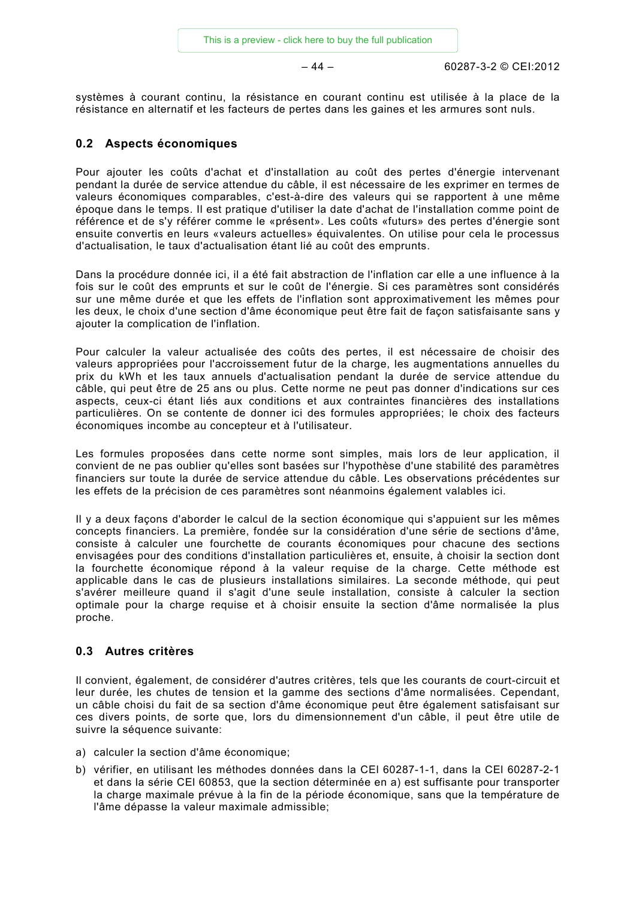systèmes à courant continu, la résistance en courant continu est utilisée à la place de la résistance en alternatif et les facteurs de pertes dans les gaines et les armures sont nuls.

## **0.2 Aspects économiques**

Pour ajouter les coûts d'achat et d'installation au coût des pertes d'énergie intervenant pendant la durée de service attendue du câble, il est nécessaire de les exprimer en termes de valeurs économiques comparables, c'est-à-dire des valeurs qui se rapportent à une même époque dans le temps. Il est pratique d'utiliser la date d'achat de l'installation comme point de référence et de s'y référer comme le «présent». Les coûts «futurs» des pertes d'énergie sont ensuite convertis en leurs «valeurs actuelles» équivalentes. On utilise pour cela le processus d'actualisation, le taux d'actualisation étant lié au coût des emprunts.

Dans la procédure donnée ici, il a été fait abstraction de l'inflation car elle a une influence à la fois sur le coût des emprunts et sur le coût de l'énergie. Si ces paramètres sont considérés sur une même durée et que les effets de l'inflation sont approximativement les mêmes pour les deux, le choix d'une section d'âme économique peut être fait de façon satisfaisante sans y ajouter la complication de l'inflation.

Pour calculer la valeur actualisée des coûts des pertes, il est nécessaire de choisir des valeurs appropriées pour l'accroissement futur de la charge, les augmentations annuelles du prix du kWh et les taux annuels d'actualisation pendant la durée de service attendue du câble, qui peut être de 25 ans ou plus. Cette norme ne peut pas donner d'indications sur ces aspects, ceux-ci étant liés aux conditions et aux contraintes financières des installations particulières. On se contente de donner ici des formules appropriées; le choix des facteurs économiques incombe au concepteur et à l'utilisateur.

Les formules proposées dans cette norme sont simples, mais lors de leur application, il convient de ne pas oublier qu'elles sont basées sur l'hypothèse d'une stabilité des paramètres financiers sur toute la durée de service attendue du câble. Les observations précédentes sur les effets de la précision de ces paramètres sont néanmoins également valables ici.

Il y a deux façons d'aborder le calcul de la section économique qui s'appuient sur les mêmes concepts financiers. La première, fondée sur la considération d'une série de sections d'âme, consiste à calculer une fourchette de courants économiques pour chacune des sections envisagées pour des conditions d'installation particulières et, ensuite, à choisir la section dont la fourchette économique répond à la valeur requise de la charge. Cette méthode est applicable dans le cas de plusieurs installations similaires. La seconde méthode, qui peut s'avérer meilleure quand il s'agit d'une seule installation, consiste à calculer la section optimale pour la charge requise et à choisir ensuite la section d'âme normalisée la plus proche.

## **0.3 Autres critères**

Il convient, également, de considérer d'autres critères, tels que les courants de court-circuit et leur durée, les chutes de tension et la gamme des sections d'âme normalisées. Cependant, un câble choisi du fait de sa section d'âme économique peut être également satisfaisant sur ces divers points, de sorte que, lors du dimensionnement d'un câble, il peut être utile de suivre la séquence suivante:

- a) calculer la section d'âme économique;
- b) vérifier, en utilisant les méthodes données dans la CEl 60287-1-1, dans la CEl 60287-2-1 et dans la série CEl 60853, que la section déterminée en a) est suffisante pour transporter la charge maximale prévue à la fin de la période économique, sans que la température de l'âme dépasse la valeur maximale admissible;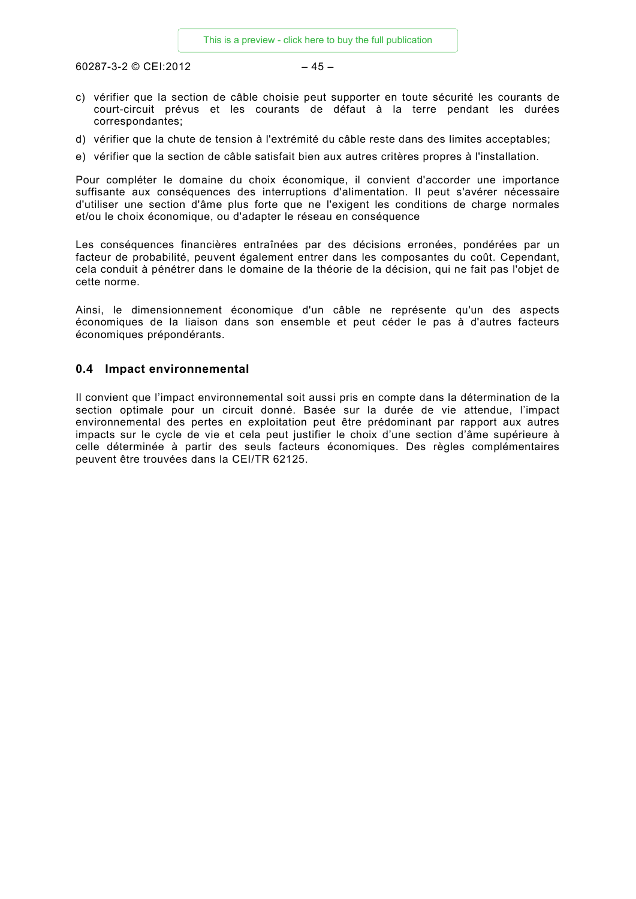$60287 - 3 - 2 \odot CF1:2012$   $-45 -$ 

- c) vérifier que la section de câble choisie peut supporter en toute sécurité les courants de court-circuit prévus et les courants de défaut à la terre pendant les durées correspondantes;
- d) vérifier que la chute de tension à l'extrémité du câble reste dans des limites acceptables;
- e) vérifier que la section de câble satisfait bien aux autres critères propres à l'installation.

Pour compléter le domaine du choix économique, il convient d'accorder une importance suffisante aux conséquences des interruptions d'alimentation. Il peut s'avérer nécessaire d'utiliser une section d'âme plus forte que ne l'exigent les conditions de charge normales et/ou le choix économique, ou d'adapter le réseau en conséquence

Les conséquences financières entraînées par des décisions erronées, pondérées par un facteur de probabilité, peuvent également entrer dans les composantes du coût. Cependant, cela conduit à pénétrer dans le domaine de la théorie de la décision, qui ne fait pas l'objet de cette norme.

Ainsi, le dimensionnement économique d'un câble ne représente qu'un des aspects économiques de la liaison dans son ensemble et peut céder le pas à d'autres facteurs économiques prépondérants.

## **0.4 Impact environnemental**

Il convient que l'impact environnemental soit aussi pris en compte dans la détermination de la section optimale pour un circuit donné. Basée sur la durée de vie attendue, l'impact environnemental des pertes en exploitation peut être prédominant par rapport aux autres impacts sur le cycle de vie et cela peut justifier le choix d'une section d'âme supérieure à celle déterminée à partir des seuls facteurs économiques. Des règles complémentaires peuvent être trouvées dans la CEI/TR 62125.